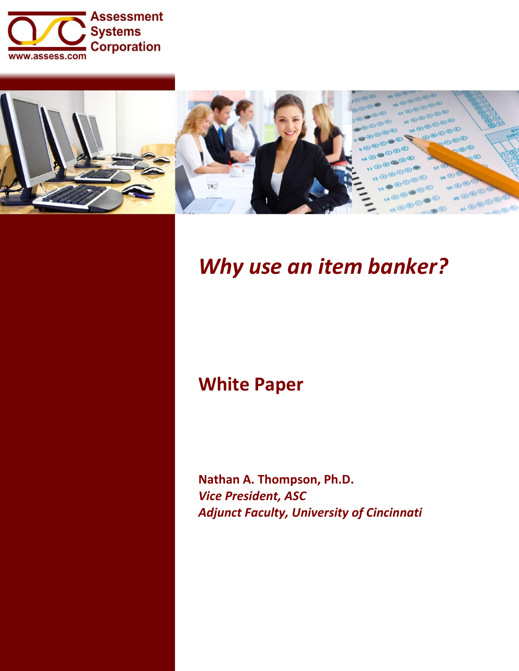



# *Why use an item banker?*

# **White Paper**

**Nathan A. Thompson, Ph.D.** *Vice President, ASC Adjunct Faculty, University of Cincinnati*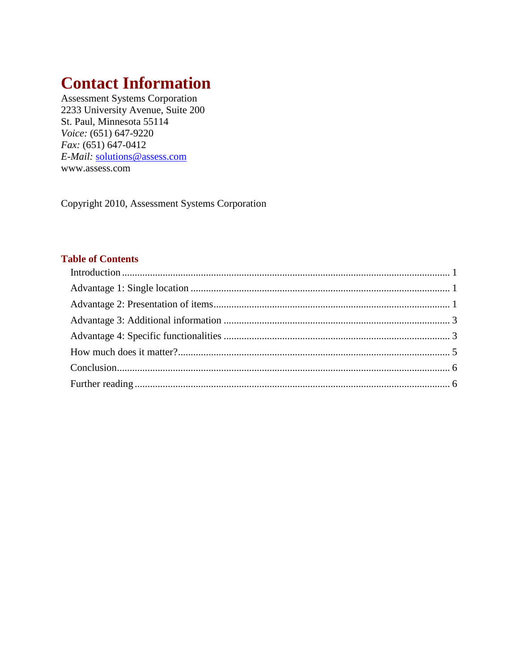# **Contact Information**

Assessment Systems Corporation 2233 University Avenue, Suite 200 St. Paul, Minnesota 55114 *Voice:* (651) 647-9220 *Fax:* (651) 647-0412 *E-Mail:* [solutions@assess.com](mailto:solutions@assess.com) www.assess.com

Copyright 2010, Assessment Systems Corporation

### **Table of Contents**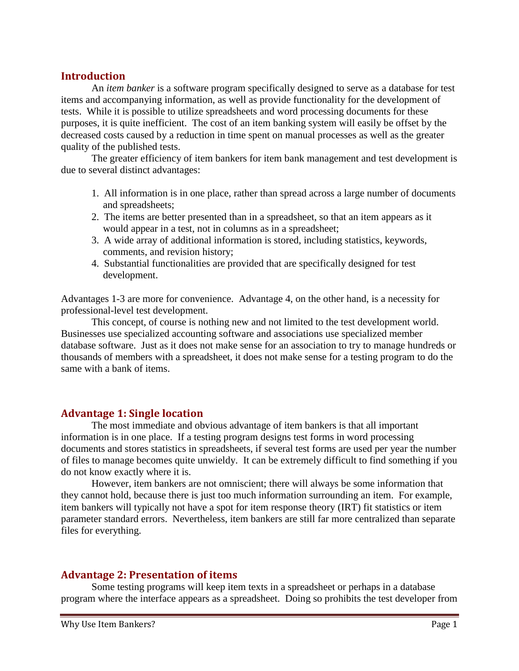## <span id="page-2-0"></span>**Introduction**

An *item banker* is a software program specifically designed to serve as a database for test items and accompanying information, as well as provide functionality for the development of tests. While it is possible to utilize spreadsheets and word processing documents for these purposes, it is quite inefficient. The cost of an item banking system will easily be offset by the decreased costs caused by a reduction in time spent on manual processes as well as the greater quality of the published tests.

The greater efficiency of item bankers for item bank management and test development is due to several distinct advantages:

- 1. All information is in one place, rather than spread across a large number of documents and spreadsheets;
- 2. The items are better presented than in a spreadsheet, so that an item appears as it would appear in a test, not in columns as in a spreadsheet;
- 3. A wide array of additional information is stored, including statistics, keywords, comments, and revision history;
- 4. Substantial functionalities are provided that are specifically designed for test development.

Advantages 1-3 are more for convenience. Advantage 4, on the other hand, is a necessity for professional-level test development.

This concept, of course is nothing new and not limited to the test development world. Businesses use specialized accounting software and associations use specialized member database software. Just as it does not make sense for an association to try to manage hundreds or thousands of members with a spreadsheet, it does not make sense for a testing program to do the same with a bank of items.

# <span id="page-2-1"></span>**Advantage 1: Single location**

The most immediate and obvious advantage of item bankers is that all important information is in one place. If a testing program designs test forms in word processing documents and stores statistics in spreadsheets, if several test forms are used per year the number of files to manage becomes quite unwieldy. It can be extremely difficult to find something if you do not know exactly where it is.

However, item bankers are not omniscient; there will always be some information that they cannot hold, because there is just too much information surrounding an item. For example, item bankers will typically not have a spot for item response theory (IRT) fit statistics or item parameter standard errors. Nevertheless, item bankers are still far more centralized than separate files for everything.

#### <span id="page-2-2"></span>**Advantage 2: Presentation of items**

Some testing programs will keep item texts in a spreadsheet or perhaps in a database program where the interface appears as a spreadsheet. Doing so prohibits the test developer from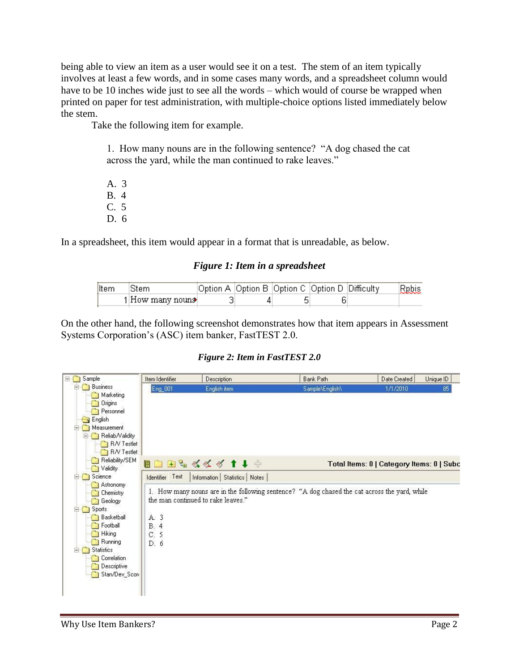being able to view an item as a user would see it on a test. The stem of an item typically involves at least a few words, and in some cases many words, and a spreadsheet column would have to be 10 inches wide just to see all the words – which would of course be wrapped when printed on paper for test administration, with multiple-choice options listed immediately below the stem.

Take the following item for example.

1. How many nouns are in the following sentence? "A dog chased the cat across the yard, while the man continued to rake leaves."

A. 3 B. 4 C. 5 D. 6

In a spreadsheet, this item would appear in a format that is unreadable, as below.

#### *Figure 1: Item in a spreadsheet*

| Item | Stem             | Option A   Option B   Option C   Option D   Difficulty |  | Rebis |
|------|------------------|--------------------------------------------------------|--|-------|
|      | 1 How many nouns |                                                        |  |       |

On the other hand, the following screenshot demonstrates how that item appears in Assessment Systems Corporation's (ASC) item banker, FastTEST 2.0.

*Figure 2: Item in FastTEST 2.0*

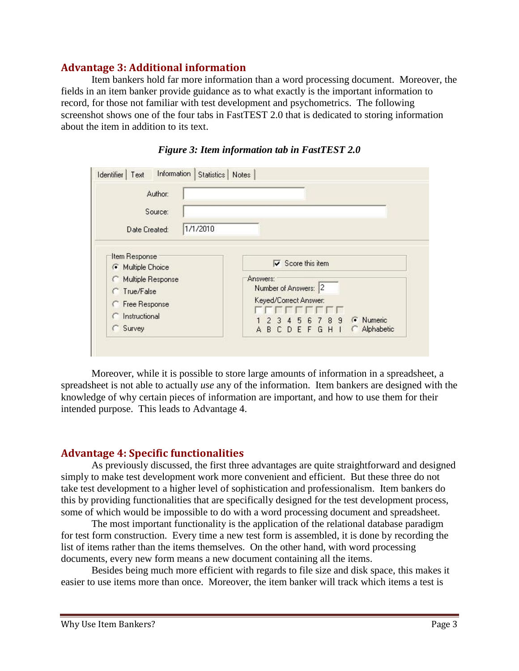# **Advantage 3: Additional information**

<span id="page-4-0"></span>Item bankers hold far more information than a word processing document. Moreover, the fields in an item banker provide guidance as to what exactly is the important information to record, for those not familiar with test development and psychometrics. The following screenshot shows one of the four tabs in FastTEST 2.0 that is dedicated to storing information about the item in addition to its text.

| Author:<br>Source:                               |                                                                                                          |  |  |  |  |
|--------------------------------------------------|----------------------------------------------------------------------------------------------------------|--|--|--|--|
| 1/1/2010<br>Date Created:                        |                                                                                                          |  |  |  |  |
| Item Response<br><b>6</b> Multiple Choice        | $\overline{\mathbf{v}}$ Score this item                                                                  |  |  |  |  |
| Multiple Response<br>True/False<br>Free Response | Answers:<br>Number of Answers: 2<br>Keyed/Correct Answer:                                                |  |  |  |  |
| Instructional<br>Survey                          | .<br><b>6</b> Numeric<br>5 6 7 8 9<br>2 <sub>3</sub><br>$\overline{4}$<br>Alphabetic<br><b>ABCDEFGHI</b> |  |  |  |  |

*Figure 3: Item information tab in FastTEST 2.0*

Moreover, while it is possible to store large amounts of information in a spreadsheet, a spreadsheet is not able to actually *use* any of the information. Item bankers are designed with the knowledge of why certain pieces of information are important, and how to use them for their intended purpose. This leads to Advantage 4.

#### <span id="page-4-1"></span>**Advantage 4: Specific functionalities**

As previously discussed, the first three advantages are quite straightforward and designed simply to make test development work more convenient and efficient. But these three do not take test development to a higher level of sophistication and professionalism. Item bankers do this by providing functionalities that are specifically designed for the test development process, some of which would be impossible to do with a word processing document and spreadsheet.

The most important functionality is the application of the relational database paradigm for test form construction. Every time a new test form is assembled, it is done by recording the list of items rather than the items themselves. On the other hand, with word processing documents, every new form means a new document containing all the items.

Besides being much more efficient with regards to file size and disk space, this makes it easier to use items more than once. Moreover, the item banker will track which items a test is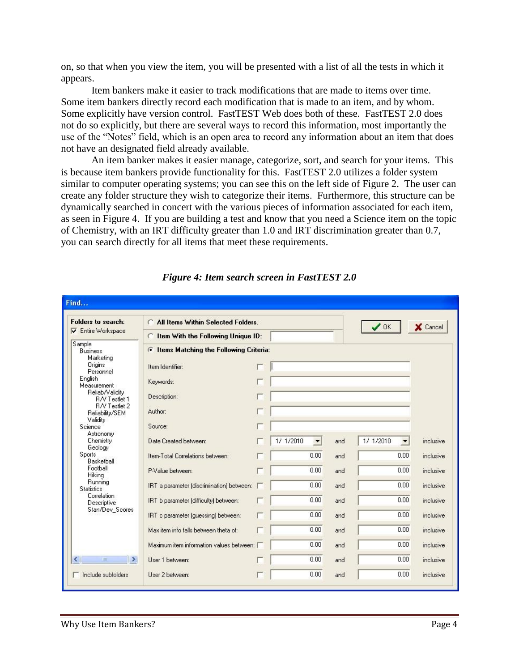on, so that when you view the item, you will be presented with a list of all the tests in which it appears.

Item bankers make it easier to track modifications that are made to items over time. Some item bankers directly record each modification that is made to an item, and by whom. Some explicitly have version control. FastTEST Web does both of these. FastTEST 2.0 does not do so explicitly, but there are several ways to record this information, most importantly the use of the "Notes" field, which is an open area to record any information about an item that does not have an designated field already available.

An item banker makes it easier manage, categorize, sort, and search for your items. This is because item bankers provide functionality for this. FastTEST 2.0 utilizes a folder system similar to computer operating systems; you can see this on the left side of Figure 2. The user can create any folder structure they wish to categorize their items. Furthermore, this structure can be dynamically searched in concert with the various pieces of information associated for each item, as seen in Figure 4. If you are building a test and know that you need a Science item on the topic of Chemistry, with an IRT difficulty greater than 1.0 and IRT discrimination greater than 0.7, you can search directly for all items that meet these requirements.

|                                                              | C All Items Within Selected Folders<br>✔<br><b>OK</b>     |          |           |     |           |           |
|--------------------------------------------------------------|-----------------------------------------------------------|----------|-----------|-----|-----------|-----------|
| <b>V</b> Entire Workspace                                    | Item With the Following Unique ID:                        | X Cancel |           |     |           |           |
| Sample<br><b>Business</b><br>Marketing                       | <b>Items Matching the Following Criteria:</b><br>$\sigma$ |          |           |     |           |           |
| Origins<br>Personnel                                         | Item Identifier:                                          |          |           |     |           |           |
| English<br>Measurement                                       | Keywords:                                                 |          |           |     |           |           |
| Reliab/Validity<br>R/V Testlet 1<br>R/V Testlet 2            | Description:                                              |          |           |     |           |           |
| Reliability/SEM<br>Validity                                  | Author:                                                   |          |           |     |           |           |
| Science<br>Astronomy                                         | Source:                                                   |          |           |     |           |           |
| Chemistry<br>Geology                                         | Date Created between:                                     |          | 1/ 1/2010 | and | 1/ 1/2010 | inclusive |
| <b>Sports</b><br>Basketball                                  | Item-Total Correlations between:                          |          | 0.00      | and | 0.00      | inclusive |
| Football<br>Hiking                                           | P-Value between:                                          |          | 0.00      | and | 0.00      | inclusive |
| Running<br><b>Statistics</b><br>Correlation                  | IRT a parameter (discrimination) between:                 |          | 0.00      | and | 0.00      | inclusive |
| Descriptive<br>Stan/Dev_Scores                               | IRT b parameter (difficulty) between:                     |          | 0.00      | and | 0.00      | inclusive |
|                                                              | IRT c parameter (guessing) between:                       |          | 0.00      | and | 0.00      | inclusive |
|                                                              | Max item info falls between theta of:                     |          | 0.00      | and | 0.00      | inclusive |
|                                                              | Maximum item information values between: [                |          | 0.00      | and | 0.00      | inclusive |
| $\rightarrow$<br>$\left\langle \right\rangle$<br><b>IIII</b> | User 1 between:                                           |          | 0.00      | and | 0.00      | inclusive |

*Figure 4: Item search screen in FastTEST 2.0*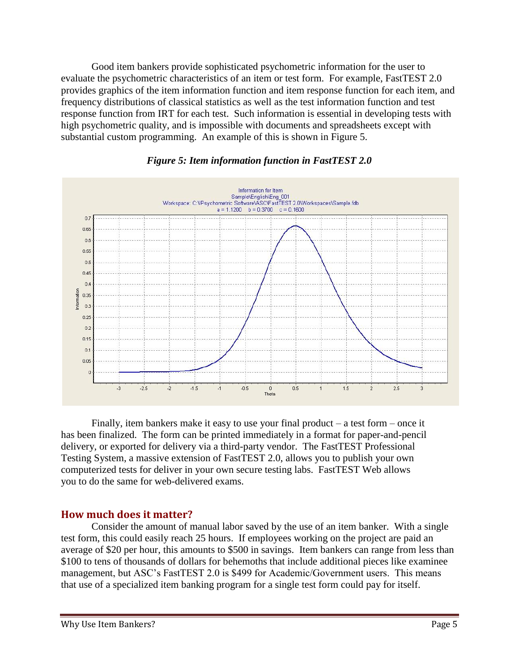Good item bankers provide sophisticated psychometric information for the user to evaluate the psychometric characteristics of an item or test form. For example, FastTEST 2.0 provides graphics of the item information function and item response function for each item, and frequency distributions of classical statistics as well as the test information function and test response function from IRT for each test. Such information is essential in developing tests with high psychometric quality, and is impossible with documents and spreadsheets except with substantial custom programming. An example of this is shown in Figure 5.



*Figure 5: Item information function in FastTEST 2.0*

Finally, item bankers make it easy to use your final product – a test form – once it has been finalized. The form can be printed immediately in a format for paper-and-pencil delivery, or exported for delivery via a third-party vendor. The FastTEST Professional Testing System, a massive extension of FastTEST 2.0, allows you to publish your own computerized tests for deliver in your own secure testing labs. FastTEST Web allows you to do the same for web-delivered exams.

#### <span id="page-6-0"></span>**How much does it matter?**

Consider the amount of manual labor saved by the use of an item banker. With a single test form, this could easily reach 25 hours. If employees working on the project are paid an average of \$20 per hour, this amounts to \$500 in savings. Item bankers can range from less than \$100 to tens of thousands of dollars for behemoths that include additional pieces like examinee management, but ASC's FastTEST 2.0 is \$499 for Academic/Government users. This means that use of a specialized item banking program for a single test form could pay for itself.